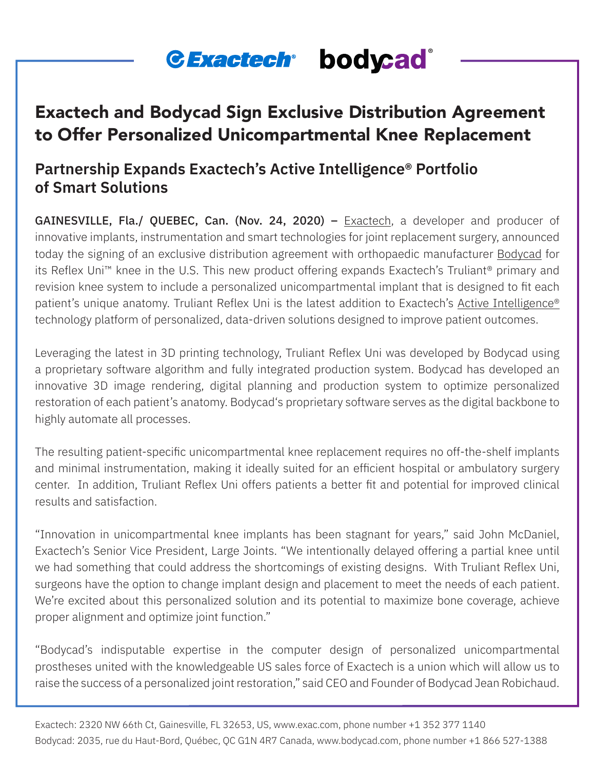# *<u>CExactech bodycad*</u>

## Exactech and Bodycad Sign Exclusive Distribution Agreement to Offer Personalized Unicompartmental Knee Replacement

### **Partnership Expands Exactech's Active Intelligence® Portfolio of Smart Solutions**

GAINESVILLE, Fla./ QUEBEC, Can. (Nov. 24, 2020) – [Exactech,](https://www.exac.com/) a developer and producer of innovative implants, instrumentation and smart technologies for joint replacement surgery, announced today the signing of an exclusive distribution agreement with orthopaedic manufacturer [Bodycad](https://bodycad.com/en) for its Reflex Uni™ knee in the U.S. This new product offering expands Exactech's Truliant® primary and revision knee system to include a personalized unicompartmental implant that is designed to fit each patient's unique anatomy. Truliant Reflex Uni is the latest addition to Exactech's [Active Intelligence®](https://www.exac.com/activeintelligence/)  technology platform of personalized, data-driven solutions designed to improve patient outcomes.

Leveraging the latest in 3D printing technology, Truliant Reflex Uni was developed by Bodycad using a proprietary software algorithm and fully integrated production system. Bodycad has developed an innovative 3D image rendering, digital planning and production system to optimize personalized restoration of each patient's anatomy. Bodycad's proprietary software serves as the digital backbone to highly automate all processes.

The resulting patient-specific unicompartmental knee replacement requires no off-the-shelf implants and minimal instrumentation, making it ideally suited for an efficient hospital or ambulatory surgery center. In addition, Truliant Reflex Uni offers patients a better fit and potential for improved clinical results and satisfaction.

"Innovation in unicompartmental knee implants has been stagnant for years," said John McDaniel, Exactech's Senior Vice President, Large Joints. "We intentionally delayed offering a partial knee until we had something that could address the shortcomings of existing designs. With Truliant Reflex Uni, surgeons have the option to change implant design and placement to meet the needs of each patient. We're excited about this personalized solution and its potential to maximize bone coverage, achieve proper alignment and optimize joint function."

"Bodycad's indisputable expertise in the computer design of personalized unicompartmental prostheses united with the knowledgeable US sales force of Exactech is a union which will allow us to raise the success of a personalized joint restoration," said CEO and Founder of Bodycad Jean Robichaud.